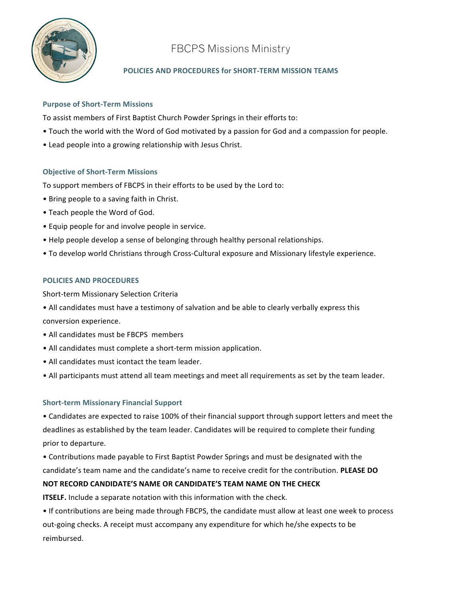

# FBCPS Missions Ministry

## POLICIES AND PROCEDURES for SHORT-TERM MISSION TEAMS

#### **Purpose of Short-Term Missions**

To assist members of First Baptist Church Powder Springs in their efforts to:

- Touch the world with the Word of God motivated by a passion for God and a compassion for people.
- Lead people into a growing relationship with Jesus Christ.

### **Objective of Short-Term Missions**

To support members of FBCPS in their efforts to be used by the Lord to:

- Bring people to a saving faith in Christ.
- Teach people the Word of God.
- Equip people for and involve people in service.
- Help people develop a sense of belonging through healthy personal relationships.
- To develop world Christians through Cross-Cultural exposure and Missionary lifestyle experience.

### **POLICIES!AND!PROCEDURES**

Short-term Missionary Selection Criteria

- All candidates must have a testimony of salvation and be able to clearly verbally express this conversion experience.
- $\bullet$  All candidates must be FBCPS members
- All candidates must complete a short-term mission application.
- $\bullet$  All candidates must icontact the team leader.
- All participants must attend all team meetings and meet all requirements as set by the team leader.

### **Short-term Missionary Financial Support**

• Candidates are expected to raise 100% of their financial support through support letters and meet the deadlines as established by the team leader. Candidates will be required to complete their funding prior to departure.

• Contributions made payable to First Baptist Powder Springs and must be designated with the candidate's team name and the candidate's name to receive credit for the contribution. **PLEASE DO** NOT RECORD CANDIDATE'S NAME OR CANDIDATE'S TEAM NAME ON THE CHECK

**ITSELF.** Include a separate notation with this information with the check.

• If contributions are being made through FBCPS, the candidate must allow at least one week to process out-going checks. A receipt must accompany any expenditure for which he/she expects to be reimbursed.